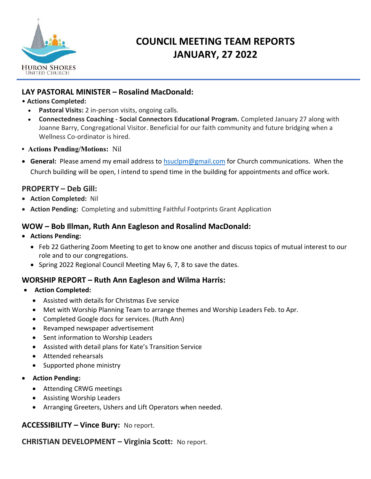

# **COUNCIL MEETING TEAM REPORTS JANUARY, 27 2022**

## **LAY PASTORAL MINISTER – Rosalind MacDonald:**

## • **Actions Completed:**

- **Pastoral Visits:** 2 in-person visits, ongoing calls.
- **Connectedness Coaching - Social Connectors Educational Program.** Completed January 27 along with Joanne Barry, Congregational Visitor. Beneficial for our faith community and future bridging when a Wellness Co-ordinator is hired.
- **Actions Pending/Motions:** Nil
- **General:** Please amend my email address to [hsuclpm@gmail.com](mailto:hsuclpm@gmail.com) for Church communications. When the Church building will be open, I intend to spend time in the building for appointments and office work.

## **PROPERTY – Deb Gill:**

- **Action Completed:** Nil
- **Action Pending:** Completing and submitting Faithful Footprints Grant Application

## **WOW – Bob Illman, Ruth Ann Eagleson and Rosalind MacDonald:**

- **Actions Pending:** 
	- Feb 22 Gathering Zoom Meeting to get to know one another and discuss topics of mutual interest to our role and to our congregations.
	- Spring 2022 Regional Council Meeting May 6, 7, 8 to save the dates.

## **WORSHIP REPORT – Ruth Ann Eagleson and Wilma Harris:**

- **Action Completed:**
	- Assisted with details for Christmas Eve service
	- Met with Worship Planning Team to arrange themes and Worship Leaders Feb. to Apr.
	- Completed Google docs for services. (Ruth Ann)
	- Revamped newspaper advertisement
	- Sent information to Worship Leaders
	- Assisted with detail plans for Kate's Transition Service
	- Attended rehearsals
	- Supported phone ministry
- **Action Pending:**
	- Attending CRWG meetings
	- Assisting Worship Leaders
	- Arranging Greeters, Ushers and Lift Operators when needed.

## **ACCESSIBILITY – Vince Bury:** No report.

**CHRISTIAN DEVELOPMENT – Virginia Scott:** No report.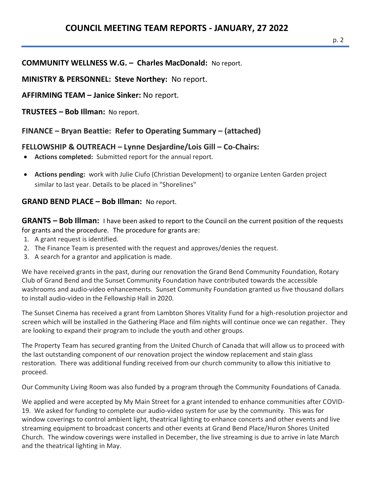**MINISTRY & PERSONNEL: Steve Northey:** No report.

**AFFIRMING TEAM – Janice Sinker:** No report.

**TRUSTEES – Bob Illman:** No report.

**FINANCE – Bryan Beattie: Refer to Operating Summary – (attached)**

# **FELLOWSHIP & OUTREACH – Lynne Desjardine/Lois Gill – Co-Chairs:**

- **Actions completed:** Submitted report for the annual report.
- **Actions pending:** work with Julie Ciufo (Christian Development) to organize Lenten Garden project similar to last year. Details to be placed in "Shorelines"

## **GRAND BEND PLACE – Bob Illman:** No report.

**GRANTS – Bob Illman:** I have been asked to report to the Council on the current position of the requests for grants and the procedure.The procedure for grants are:

- 1. A grant request is identified.
- 2. The Finance Team is presented with the request and approves/denies the request.
- 3. A search for a grantor and application is made.

We have received grants in the past, during our renovation the Grand Bend Community Foundation, Rotary Club of Grand Bend and the Sunset Community Foundation have contributed towards the accessible washrooms and audio-video enhancements. Sunset Community Foundation granted us five thousand dollars to install audio-video in the Fellowship Hall in 2020.

The Sunset Cinema has received a grant from Lambton Shores Vitality Fund for a high-resolution projector and screen which will be installed in the Gathering Place and film nights will continue once we can regather. They are looking to expand their program to include the youth and other groups.

The Property Team has secured granting from the United Church of Canada that will allow us to proceed with the last outstanding component of our renovation project the window replacement and stain glass restoration. There was additional funding received from our church community to allow this initiative to proceed.

Our Community Living Room was also funded by a program through the Community Foundations of Canada.

We applied and were accepted by My Main Street for a grant intended to enhance communities after COVID-19. We asked for funding to complete our audio-video system for use by the community. This was for window coverings to control ambient light, theatrical lighting to enhance concerts and other events and live streaming equipment to broadcast concerts and other events at Grand Bend Place/Huron Shores United Church. The window coverings were installed in December, the live streaming is due to arrive in late March and the theatrical lighting in May.